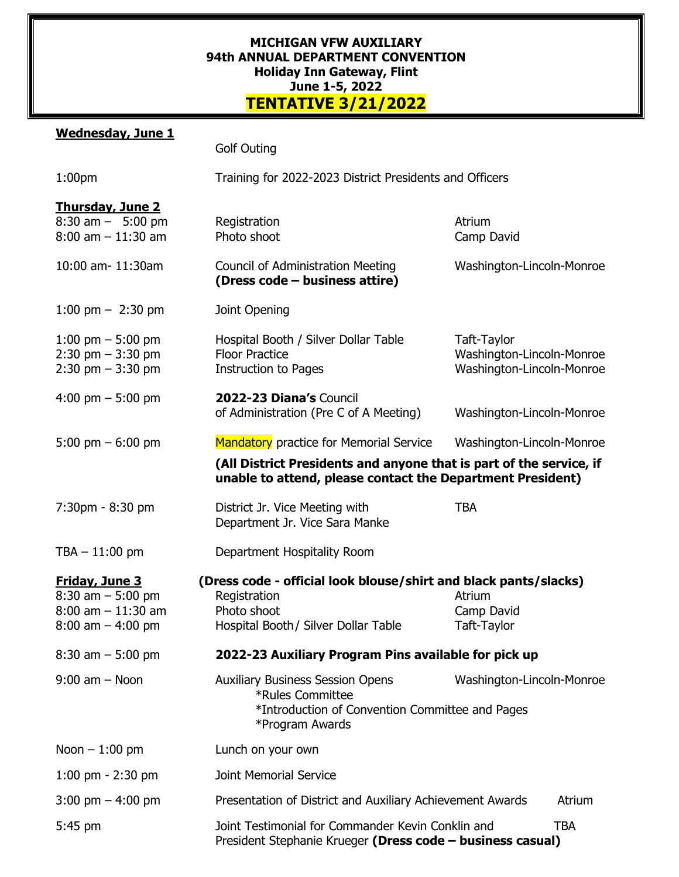## **MICHIGAN VFW AUXILIARY 94th ANNUAL DEPARTMENT CONVENTION Holiday Inn Gateway, Flint June 1-5, 2022 TENTATIVE 3/21/2022**

## **Wednesday, June 1**

|                                                                                                | <b>Golf Outing</b>                                                                                                                      |                                                                       |  |
|------------------------------------------------------------------------------------------------|-----------------------------------------------------------------------------------------------------------------------------------------|-----------------------------------------------------------------------|--|
| 1:00 <sub>pm</sub>                                                                             | Training for 2022-2023 District Presidents and Officers                                                                                 |                                                                       |  |
| <b>Thursday, June 2</b><br>$8:30$ am $-$ 5:00 pm<br>$8:00$ am $-11:30$ am                      | Registration<br>Photo shoot                                                                                                             | Atrium<br>Camp David                                                  |  |
| 10:00 am- 11:30am                                                                              | <b>Council of Administration Meeting</b><br>(Dress code - business attire)                                                              | Washington-Lincoln-Monroe                                             |  |
| $1:00 \text{ pm} - 2:30 \text{ pm}$                                                            | Joint Opening                                                                                                                           |                                                                       |  |
| 1:00 pm $-$ 5:00 pm<br>$2:30$ pm $-3:30$ pm<br>$2:30$ pm $-3:30$ pm                            | Hospital Booth / Silver Dollar Table<br><b>Floor Practice</b><br><b>Instruction to Pages</b>                                            | Taft-Taylor<br>Washington-Lincoln-Monroe<br>Washington-Lincoln-Monroe |  |
| 4:00 pm $-$ 5:00 pm                                                                            | 2022-23 Diana's Council<br>of Administration (Pre C of A Meeting)                                                                       | Washington-Lincoln-Monroe                                             |  |
| 5:00 pm $-$ 6:00 pm                                                                            | Mandatory practice for Memorial Service                                                                                                 | Washington-Lincoln-Monroe                                             |  |
|                                                                                                | (All District Presidents and anyone that is part of the service, if<br>unable to attend, please contact the Department President)       |                                                                       |  |
| 7:30pm - 8:30 pm                                                                               | District Jr. Vice Meeting with<br>Department Jr. Vice Sara Manke                                                                        | <b>TBA</b>                                                            |  |
| $TBA - 11:00 \text{ pm}$                                                                       | Department Hospitality Room                                                                                                             |                                                                       |  |
| <b>Friday, June 3</b><br>$8:30$ am $-5:00$ pm<br>$8:00$ am $-11:30$ am<br>$8:00$ am $-4:00$ pm | (Dress code - official look blouse/shirt and black pants/slacks)<br>Registration<br>Photo shoot<br>Hospital Booth / Silver Dollar Table | Atrium<br>Camp David<br>Taft-Taylor                                   |  |
| $8:30$ am $-5:00$ pm                                                                           | 2022-23 Auxiliary Program Pins available for pick up                                                                                    |                                                                       |  |
| $9:00$ am $-$ Noon                                                                             | <b>Auxiliary Business Session Opens</b><br>*Rules Committee<br>*Introduction of Convention Committee and Pages<br>*Program Awards       | Washington-Lincoln-Monroe                                             |  |
| Noon $-1:00$ pm                                                                                | Lunch on your own                                                                                                                       |                                                                       |  |
| 1:00 pm $-$ 2:30 pm                                                                            | <b>Joint Memorial Service</b>                                                                                                           |                                                                       |  |
| $3:00 \text{ pm} - 4:00 \text{ pm}$                                                            | Presentation of District and Auxiliary Achievement Awards                                                                               | Atrium                                                                |  |
| 5:45 pm                                                                                        | Joint Testimonial for Commander Kevin Conklin and<br><b>TBA</b><br>President Stephanie Krueger (Dress code - business casual)           |                                                                       |  |